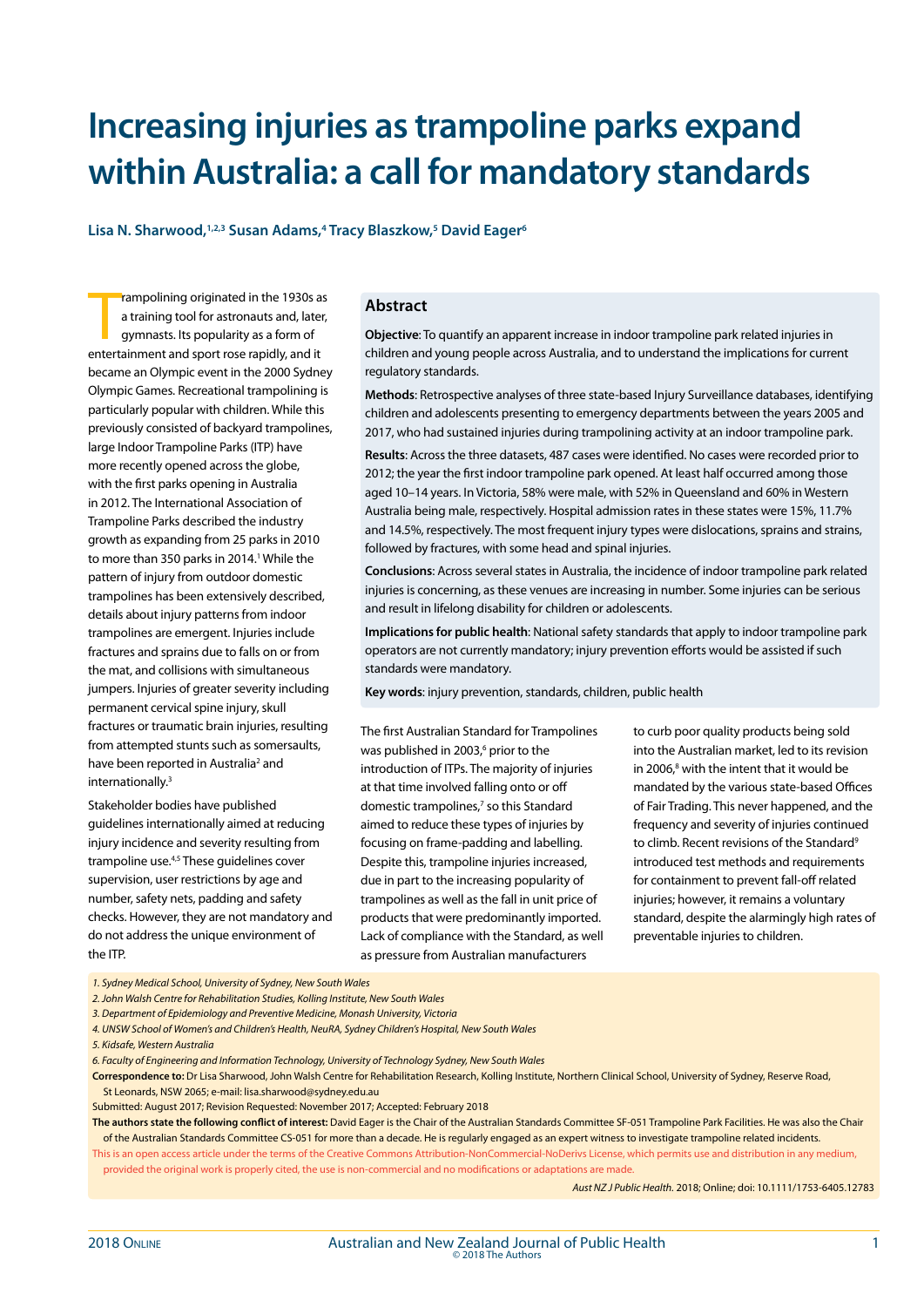# **Increasing injuries as trampoline parks expand within Australia: a call for mandatory standards**

**Lisa N. Sharwood,1,2,3 Susan Adams,4 Tracy Blaszkow,5 David Eager6**

rampolining originated in the 1930s a<br>a training tool for astronauts and, later<br>gymnasts. Its popularity as a form of<br>entertainment and sport rose rapidly, and it rampolining originated in the 1930s as a training tool for astronauts and, later, gymnasts. Its popularity as a form of became an Olympic event in the 2000 Sydney Olympic Games. Recreational trampolining is particularly popular with children. While this previously consisted of backyard trampolines, large Indoor Trampoline Parks (ITP) have more recently opened across the globe, with the first parks opening in Australia in 2012. The International Association of Trampoline Parks described the industry growth as expanding from 25 parks in 2010 to more than 350 parks in 2014.<sup>1</sup> While the pattern of injury from outdoor domestic trampolines has been extensively described, details about injury patterns from indoor trampolines are emergent. Injuries include fractures and sprains due to falls on or from the mat, and collisions with simultaneous jumpers. Injuries of greater severity including permanent cervical spine injury, skull fractures or traumatic brain injuries, resulting from attempted stunts such as somersaults, have been reported in Australia<sup>2</sup> and internationally.<sup>3</sup>

Stakeholder bodies have published guidelines internationally aimed at reducing injury incidence and severity resulting from trampoline use.4,5 These guidelines cover supervision, user restrictions by age and number, safety nets, padding and safety checks. However, they are not mandatory and do not address the unique environment of the ITP.

#### **Abstract**

**Objective**: To quantify an apparent increase in indoor trampoline park related injuries in children and young people across Australia, and to understand the implications for current regulatory standards.

**Methods**: Retrospective analyses of three state-based Injury Surveillance databases, identifying children and adolescents presenting to emergency departments between the years 2005 and 2017, who had sustained injuries during trampolining activity at an indoor trampoline park.

**Results**: Across the three datasets, 487 cases were identified. No cases were recorded prior to 2012; the year the first indoor trampoline park opened. At least half occurred among those aged 10–14 years. In Victoria, 58% were male, with 52% in Queensland and 60% in Western Australia being male, respectively. Hospital admission rates in these states were 15%, 11.7% and 14.5%, respectively. The most frequent injury types were dislocations, sprains and strains, followed by fractures, with some head and spinal injuries.

**Conclusions**: Across several states in Australia, the incidence of indoor trampoline park related injuries is concerning, as these venues are increasing in number. Some injuries can be serious and result in lifelong disability for children or adolescents.

**Implications for public health**: National safety standards that apply to indoor trampoline park operators are not currently mandatory; injury prevention efforts would be assisted if such standards were mandatory.

**Key words**: injury prevention, standards, children, public health

The first Australian Standard for Trampolines was published in 2003,<sup>6</sup> prior to the introduction of ITPs. The majority of injuries at that time involved falling onto or off domestic trampolines,<sup>7</sup> so this Standard aimed to reduce these types of injuries by focusing on frame-padding and labelling. Despite this, trampoline injuries increased, due in part to the increasing popularity of trampolines as well as the fall in unit price of products that were predominantly imported. Lack of compliance with the Standard, as well as pressure from Australian manufacturers

to curb poor quality products being sold into the Australian market, led to its revision in 2006,<sup>8</sup> with the intent that it would be mandated by the various state-based Offices of Fair Trading. This never happened, and the frequency and severity of injuries continued to climb. Recent revisions of the Standard<sup>9</sup> introduced test methods and requirements for containment to prevent fall-off related injuries; however, it remains a voluntary standard, despite the alarmingly high rates of preventable injuries to children.

*1. Sydney Medical School, University of Sydney, New South Wales*

*2. John Walsh Centre for Rehabilitation Studies, Kolling Institute, New South Wales*

- *4. UNSW School of Women's and Children's Health, NeuRA, Sydney Children's Hospital, New South Wales*
- *5. Kidsafe, Western Australia*

**Correspondence to:** Dr Lisa Sharwood, John Walsh Centre for Rehabilitation Research, Kolling Institute, Northern Clinical School, University of Sydney, Reserve Road, St Leonards, NSW 2065; e-mail: lisa.sharwood@sydney.edu.au

Submitted: August 2017; Revision Requested: November 2017; Accepted: February 2018

**The authors state the following conflict of interest:** David Eager is the Chair of the Australian Standards Committee SF-051 Trampoline Park Facilities. He was also the Chair of the Australian Standards Committee CS-051 for more than a decade. He is regularly engaged as an expert witness to investigate trampoline related incidents.

This is an open access article under the terms of the Creative Commons Attribution-NonCommercial-NoDerivs License, which permits use and distribution in any medium, provided the original work is properly cited, the use is non-commercial and no modifications or adaptations are made.

*Aust NZ J Public Health.* 2018; Online; doi: 10.1111/1753-6405.12783

*<sup>3.</sup> Department of Epidemiology and Preventive Medicine, Monash University, Victoria*

*<sup>6.</sup> Faculty of Engineering and Information Technology, University of Technology Sydney, New South Wales*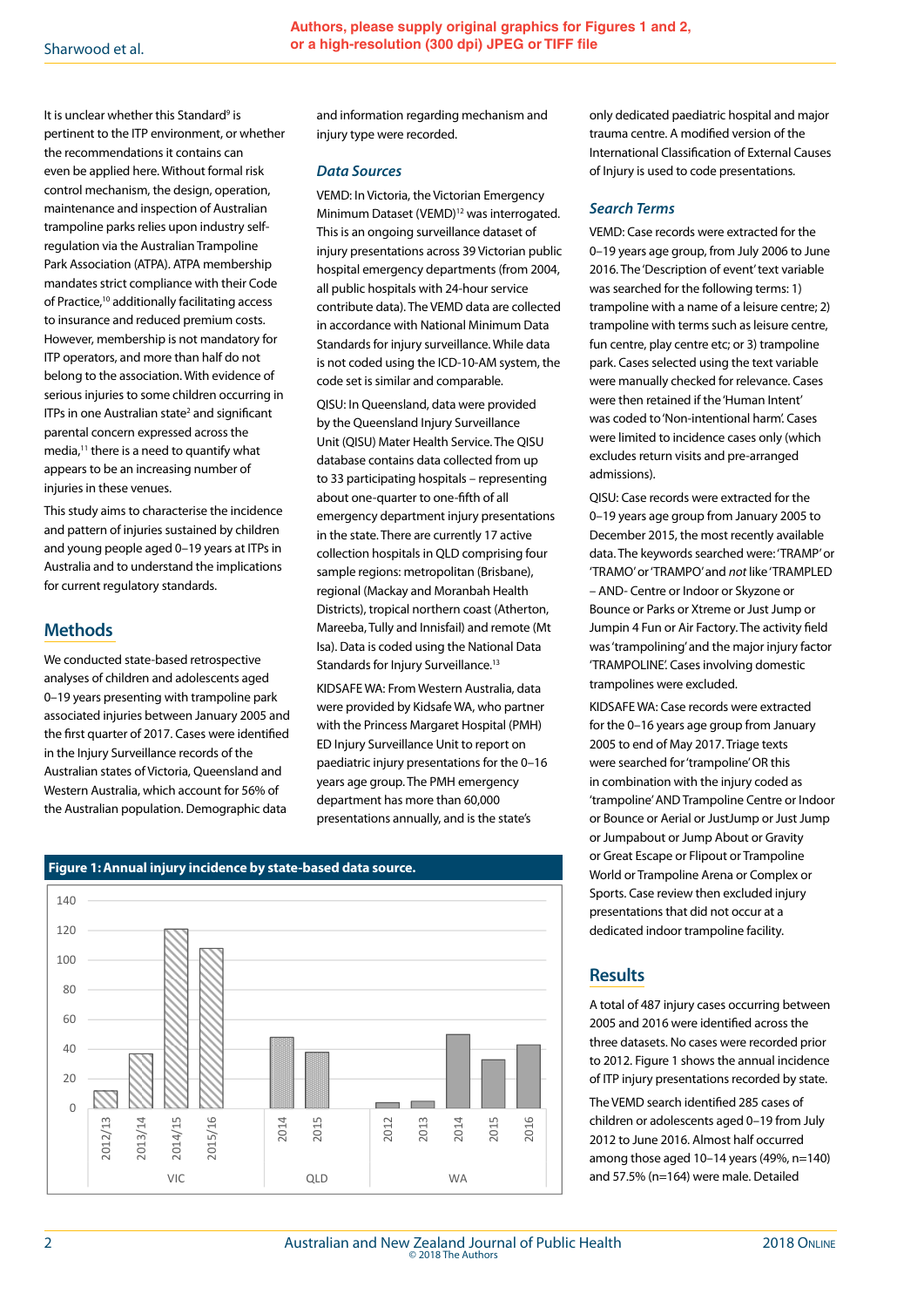It is unclear whether this Standard<sup>9</sup> is pertinent to the ITP environment, or whether the recommendations it contains can even be applied here. Without formal risk control mechanism, the design, operation, maintenance and inspection of Australian trampoline parks relies upon industry selfregulation via the Australian Trampoline Park Association (ATPA). ATPA membership mandates strict compliance with their Code of Practice,10 additionally facilitating access to insurance and reduced premium costs. However, membership is not mandatory for ITP operators, and more than half do not belong to the association. With evidence of serious injuries to some children occurring in ITPs in one Australian state<sup>2</sup> and significant parental concern expressed across the media,<sup>11</sup> there is a need to quantify what appears to be an increasing number of injuries in these venues.

This study aims to characterise the incidence and pattern of injuries sustained by children and young people aged 0–19 years at ITPs in Australia and to understand the implications for current regulatory standards.

## **Methods**

We conducted state-based retrospective analyses of children and adolescents aged 0–19 years presenting with trampoline park associated injuries between January 2005 and the first quarter of 2017. Cases were identified in the Injury Surveillance records of the Australian states of Victoria, Queensland and Western Australia, which account for 56% of the Australian population. Demographic data

and information regarding mechanism and injury type were recorded.

#### *Data Sources*

VEMD: In Victoria, the Victorian Emergency Minimum Dataset (VEMD)12 was interrogated. This is an ongoing surveillance dataset of injury presentations across 39 Victorian public hospital emergency departments (from 2004, all public hospitals with 24-hour service contribute data). The VEMD data are collected in accordance with National Minimum Data Standards for injury surveillance. While data is not coded using the ICD-10-AM system, the code set is similar and comparable.

QISU: In Queensland, data were provided by the Queensland Injury Surveillance Unit (QISU) Mater Health Service. The QISU database contains data collected from up to 33 participating hospitals – representing about one-quarter to one-fifth of all emergency department injury presentations in the state. There are currently 17 active collection hospitals in QLD comprising four sample regions: metropolitan (Brisbane), regional (Mackay and Moranbah Health Districts), tropical northern coast (Atherton, Mareeba, Tully and Innisfail) and remote (Mt Isa). Data is coded using the National Data Standards for Injury Surveillance.<sup>13</sup>

KIDSAFE WA: From Western Australia, data were provided by Kidsafe WA, who partner with the Princess Margaret Hospital (PMH) ED Injury Surveillance Unit to report on paediatric injury presentations for the 0–16 years age group. The PMH emergency department has more than 60,000 presentations annually, and is the state's



# **Figure 1:Annual injury incidence by state-based data source.**

only dedicated paediatric hospital and major trauma centre. A modified version of the International Classification of External Causes of Injury is used to code presentations.

#### *Search Terms*

VEMD: Case records were extracted for the 0–19 years age group, from July 2006 to June 2016. The 'Description of event' text variable was searched for the following terms: 1) trampoline with a name of a leisure centre; 2) trampoline with terms such as leisure centre, fun centre, play centre etc; or 3) trampoline park. Cases selected using the text variable were manually checked for relevance. Cases were then retained if the 'Human Intent' was coded to 'Non-intentional harm'. Cases were limited to incidence cases only (which excludes return visits and pre-arranged admissions).

QISU: Case records were extracted for the 0–19 years age group from January 2005 to December 2015, the most recently available data. The keywords searched were: 'TRAMP' or 'TRAMO' or 'TRAMPO' and *not* like 'TRAMPLED – AND- Centre or Indoor or Skyzone or Bounce or Parks or Xtreme or Just Jump or Jumpin 4 Fun or Air Factory. The activity field was 'trampolining' and the major injury factor 'TRAMPOLINE'. Cases involving domestic trampolines were excluded.

KIDSAFE WA: Case records were extracted for the 0–16 years age group from January 2005 to end of May 2017. Triage texts were searched for 'trampoline' OR this in combination with the injury coded as 'trampoline' AND Trampoline Centre or Indoor or Bounce or Aerial or JustJump or Just Jump or Jumpabout or Jump About or Gravity or Great Escape or Flipout or Trampoline World or Trampoline Arena or Complex or Sports. Case review then excluded injury presentations that did not occur at a dedicated indoor trampoline facility.

## **Results**

A total of 487 injury cases occurring between 2005 and 2016 were identified across the three datasets. No cases were recorded prior to 2012. Figure 1 shows the annual incidence of ITP injury presentations recorded by state.

The VEMD search identified 285 cases of children or adolescents aged 0–19 from July 2012 to June 2016. Almost half occurred among those aged 10–14 years (49%, n=140) and 57.5% (n=164) were male. Detailed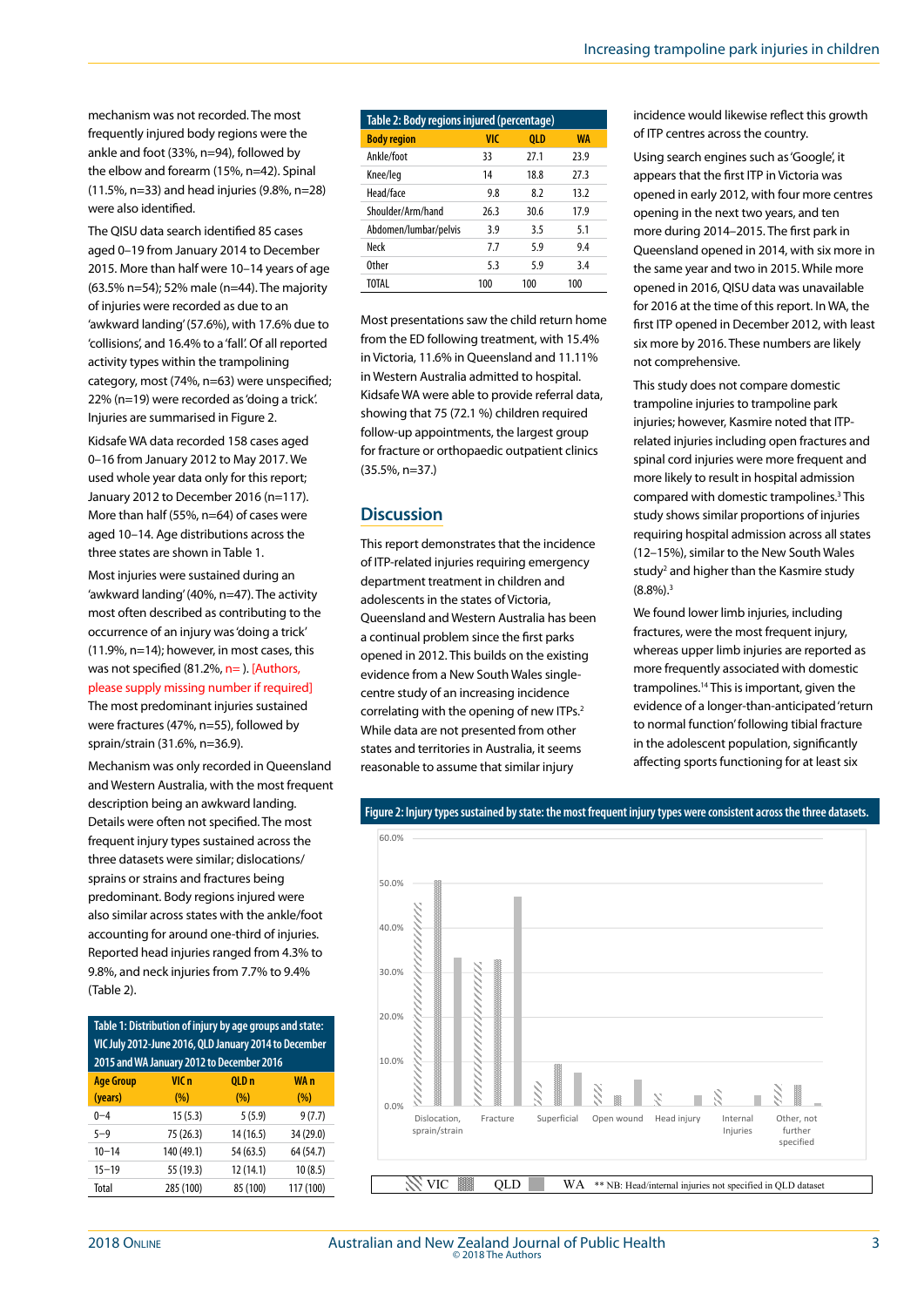mechanism was not recorded. The most frequently injured body regions were the ankle and foot (33%, n=94), followed by the elbow and forearm (15%, n=42). Spinal (11.5%, n=33) and head injuries (9.8%, n=28) were also identified.

The QISU data search identified 85 cases aged 0–19 from January 2014 to December 2015. More than half were 10–14 years of age (63.5% n=54); 52% male (n=44). The majority of injuries were recorded as due to an 'awkward landing' (57.6%), with 17.6% due to 'collisions', and 16.4% to a 'fall'. Of all reported activity types within the trampolining category, most (74%, n=63) were unspecified; 22% (n=19) were recorded as 'doing a trick'. Injuries are summarised in Figure 2.

Kidsafe WA data recorded 158 cases aged 0–16 from January 2012 to May 2017. We used whole year data only for this report; January 2012 to December 2016 (n=117). More than half (55%, n=64) of cases were aged 10–14. Age distributions across the three states are shown in Table 1.

Most injuries were sustained during an 'awkward landing' (40%, n=47). The activity most often described as contributing to the occurrence of an injury was 'doing a trick' (11.9%, n=14); however, in most cases, this was not specified (81.2%, n=). [Authors, please supply missing number if required] The most predominant injuries sustained were fractures (47%, n=55), followed by sprain/strain (31.6%, n=36.9).

Mechanism was only recorded in Queensland and Western Australia, with the most frequent description being an awkward landing. Details were often not specified. The most frequent injury types sustained across the three datasets were similar; dislocations/ sprains or strains and fractures being predominant. Body regions injured were also similar across states with the ankle/foot accounting for around one-third of injuries. Reported head injuries ranged from 4.3% to 9.8%, and neck injuries from 7.7% to 9.4% (Table 2).

**Table 1: Distribution of injury by age groups and state: VIC July 2012-June 2016, QLD January 2014 to December 2015 and WA January 2012 to December 2016 Age Group (years) VIC n (%) QLD n (%) WA n (%)**  $0-4$  15 (5.3) 5 (5.9) 9 (7.7) 5–9 75 (26.3) 14 (16.5) 34 (29.0) 10–14 140 (49.1) 54 (63.5) 64 (54.7) 15–19 55 (19.3) 12 (14.1) 10 (8.5) Total 285 (100) 85 (100) 117 (100)

| Table 2: Body regions injured (percentage) |      |      |           |
|--------------------------------------------|------|------|-----------|
| <b>Body region</b>                         | VIC  | 0LD  | <b>WA</b> |
| Ankle/foot                                 | 33   | 27.1 | 23.9      |
| Knee/leg                                   | 14   | 18.8 | 27.3      |
| Head/face                                  | 9.8  | 82   | 13.2      |
| Shoulder/Arm/hand                          | 26.3 | 30.6 | 17.9      |
| Abdomen/lumbar/pelvis                      | 3.9  | 3.5  | 5.1       |
| Neck                                       | 7.7  | 5.9  | 9.4       |
| <b>Other</b>                               | 5.3  | 5.9  | 3.4       |
| TOTAL                                      | 100  | 100  | 100       |

Most presentations saw the child return home from the ED following treatment, with 15.4% in Victoria, 11.6% in Queensland and 11.11% in Western Australia admitted to hospital. Kidsafe WA were able to provide referral data, showing that 75 (72.1 %) children required follow-up appointments, the largest group for fracture or orthopaedic outpatient clinics (35.5%, n=37.)

#### **Discussion**

This report demonstrates that the incidence of ITP-related injuries requiring emergency department treatment in children and adolescents in the states of Victoria, Queensland and Western Australia has been a continual problem since the first parks opened in 2012. This builds on the existing evidence from a New South Wales singlecentre study of an increasing incidence correlating with the opening of new ITPs.2 While data are not presented from other states and territories in Australia, it seems reasonable to assume that similar injury

incidence would likewise reflect this growth of ITP centres across the country.

Using search engines such as 'Google', it appears that the first ITP in Victoria was opened in early 2012, with four more centres opening in the next two years, and ten more during 2014–2015. The first park in Queensland opened in 2014, with six more in the same year and two in 2015. While more opened in 2016, QISU data was unavailable for 2016 at the time of this report. In WA, the first ITP opened in December 2012, with least six more by 2016. These numbers are likely not comprehensive.

This study does not compare domestic trampoline injuries to trampoline park injuries; however, Kasmire noted that ITPrelated injuries including open fractures and spinal cord injuries were more frequent and more likely to result in hospital admission compared with domestic trampolines.3 This study shows similar proportions of injuries requiring hospital admission across all states (12–15%), similar to the New South Wales study<sup>2</sup> and higher than the Kasmire study  $(8.8\%)$ .<sup>3</sup>

We found lower limb injuries, including fractures, were the most frequent injury, whereas upper limb injuries are reported as more frequently associated with domestic trampolines.14 This is important, given the evidence of a longer-than-anticipated 'return to normal function' following tibial fracture in the adolescent population, significantly affecting sports functioning for at least six